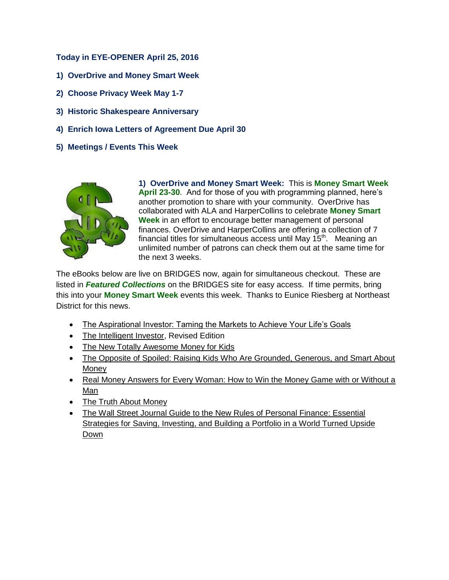## **Today in EYE-OPENER April 25, 2016**

- **1) OverDrive and Money Smart Week**
- **2) Choose Privacy Week May 1-7**
- **3) Historic Shakespeare Anniversary**
- **4) Enrich Iowa Letters of Agreement Due April 30**
- **5) Meetings / Events This Week**



**1) OverDrive and Money Smart Week:** This is **Money Smart Week April 23-30**. And for those of you with programming planned, here's another promotion to share with your community. OverDrive has collaborated with ALA and HarperCollins to celebrate **Money Smart Week** in an effort to encourage better management of personal finances. OverDrive and HarperCollins are offering a collection of 7 financial titles for simultaneous access until May  $15<sup>th</sup>$ . Meaning an unlimited number of patrons can check them out at the same time for the next 3 weeks.

The eBooks below are live on BRIDGES now, again for simultaneous checkout. These are listed in *Featured Collections* on the BRIDGES site for easy access. If time permits, bring this into your **Money Smart Week** events this week. Thanks to Eunice Riesberg at Northeast District for this news.

- The Aspirational Investor: Taming the Markets to Achieve Your Life's Goals
- The Intelligent Investor, Revised Edition
- The New Totally Awesome Money for Kids
- The Opposite of Spoiled: Raising Kids Who Are Grounded, Generous, and Smart About Money
- Real Money Answers for Every Woman: How to Win the Money Game with or Without a Man
- The Truth About Money
- The Wall Street Journal Guide to the New Rules of Personal Finance: Essential Strategies for Saving, Investing, and Building a Portfolio in a World Turned Upside Down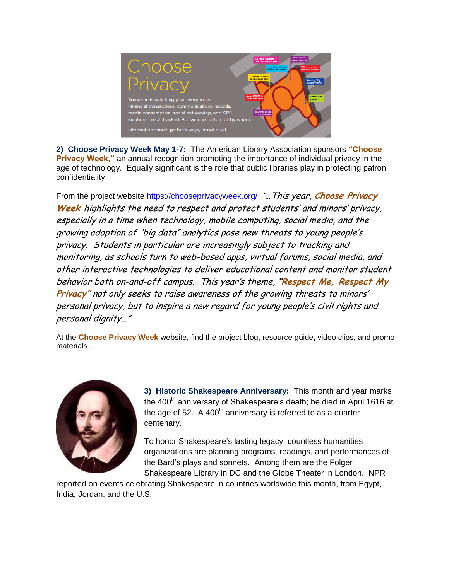

**2) Choose Privacy Week May 1-7:** The American Library Association sponsors **"Choose Privacy Week,"** an annual recognition promoting the importance of individual privacy in the age of technology. Equally significant is the role that public libraries play in protecting patron confidentiality

From the project website<https://chooseprivacyweek.org/> "…This year, **Choose Privacy Week** highlights the need to respect and protect students' and minors' privacy, especially in a time when technology, mobile computing, social media, and the growing adoption of "big data" analytics pose new threats to young people's privacy. Students in particular are increasingly subject to tracking and monitoring, as schools turn to web-based apps, virtual forums, social media, and other interactive technologies to deliver educational content and monitor student behavior both on-and-off campus. This year's theme, **"Respect Me, Respect My Privacy"** not only seeks to raise awareness of the growing threats to minors' personal privacy, but to inspire a new regard for young people's civil rights and personal dignity…"

At the **Choose Privacy Week** website, find the project blog, resource guide, video clips, and promo materials.



**3) Historic Shakespeare Anniversary:** This month and year marks the 400<sup>th</sup> anniversary of Shakespeare's death; he died in April 1616 at the age of 52. A 400<sup>th</sup> anniversary is referred to as a quarter centenary.

To honor Shakespeare's lasting legacy, countless humanities organizations are planning programs, readings, and performances of the Bard's plays and sonnets. Among them are the Folger Shakespeare Library in DC and the Globe Theater in London. NPR

reported on events celebrating Shakespeare in countries worldwide this month, from Egypt, India, Jordan, and the U.S.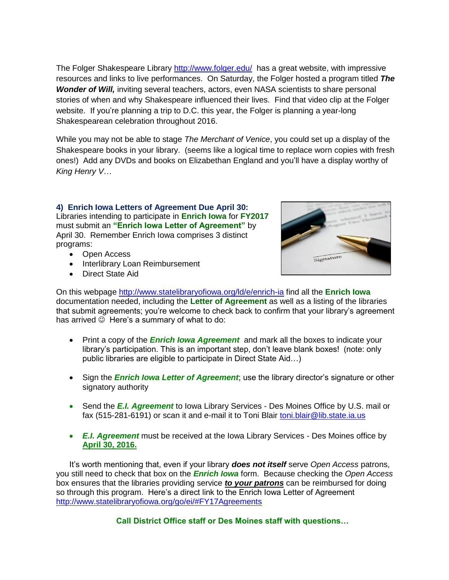The Folger Shakespeare Library<http://www.folger.edu/> has a great website, with impressive resources and links to live performances. On Saturday, the Folger hosted a program titled *The Wonder of Will,* inviting several teachers, actors, even NASA scientists to share personal stories of when and why Shakespeare influenced their lives. Find that video clip at the Folger website. If you're planning a trip to D.C. this year, the Folger is planning a year-long Shakespearean celebration throughout 2016.

While you may not be able to stage *The Merchant of Venice*, you could set up a display of the Shakespeare books in your library. (seems like a logical time to replace worn copies with fresh ones!) Add any DVDs and books on Elizabethan England and you'll have a display worthy of *King Henry V*…

**4) Enrich Iowa Letters of Agreement Due April 30:**  Libraries intending to participate in **Enrich Iowa** for **FY2017** must submit an **"Enrich Iowa Letter of Agreement"** by April 30. Remember Enrich Iowa comprises 3 distinct programs:

- Open Access
- Interlibrary Loan Reimbursement
- Direct State Aid



On this webpage<http://www.statelibraryofiowa.org/ld/e/enrich-ia> find all the **Enrich Iowa** documentation needed, including the **Letter of Agreement** as well as a listing of the libraries that submit agreements; you're welcome to check back to confirm that your library's agreement has arrived  $\odot$  Here's a summary of what to do:

- Print a copy of the *Enrich Iowa Agreement* and mark all the boxes to indicate your library's participation. This is an important step, don't leave blank boxes! (note: only public libraries are eligible to participate in Direct State Aid…)
- Sign the **Enrich Iowa Letter of Agreement**; use the library director's signature or other signatory authority
- Send the *E.I. Agreement* to Iowa Library Services Des Moines Office by U.S. mail or fax (515-281-6191) or scan it and e-mail it to Toni Blair [toni.blair@lib.state.ia.us](mailto:toni.blair@lib.state.ia.us)
- *E.I. Agreement* must be received at the Iowa Library Services Des Moines office by **April 30, 2016.**

It's worth mentioning that, even if your library *does not itself* serve *Open Access* patrons, you still need to check that box on the *Enrich Iowa* form. Because checking the *Open Access* box ensures that the libraries providing service *to your patrons* can be reimbursed for doing so through this program. Here's a direct link to the Enrich Iowa Letter of Agreement <http://www.statelibraryofiowa.org/go/ei/#FY17Agreements>

**Call District Office staff or Des Moines staff with questions…**